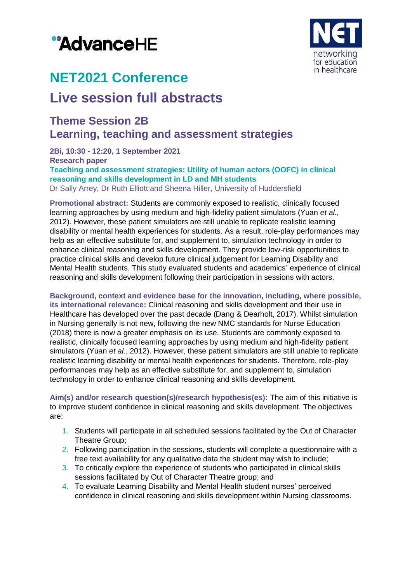# "AdvanceHE



# **NET2021 Conference**

## **Live session full abstracts**

### **Theme Session 2B Learning, teaching and assessment strategies**

**2Bi, 10:30 - 12:20, 1 September 2021 Research paper Teaching and assessment strategies: Utility of human actors (OOFC) in clinical reasoning and skills development in LD and MH students** Dr Sally Arrey, Dr Ruth Elliott and Sheena Hiller, University of Huddersfield

**Promotional abstract:** Students are commonly exposed to realistic, clinically focused learning approaches by using medium and high-fidelity patient simulators (Yuan *et al*., 2012). However, these patient simulators are still unable to replicate realistic learning disability or mental health experiences for students. As a result, role-play performances may help as an effective substitute for, and supplement to, simulation technology in order to enhance clinical reasoning and skills development. They provide low-risk opportunities to practice clinical skills and develop future clinical judgement for Learning Disability and Mental Health students. This study evaluated students and academics' experience of clinical reasoning and skills development following their participation in sessions with actors.

**Background, context and evidence base for the innovation, including, where possible, its international relevance:** Clinical reasoning and skills development and their use in Healthcare has developed over the past decade (Dang & Dearholt, 2017). Whilst simulation in Nursing generally is not new, following the new NMC standards for Nurse Education (2018) there is now a greater emphasis on its use. Students are commonly exposed to realistic, clinically focused learning approaches by using medium and high-fidelity patient simulators (Yuan *et al*., 2012). However, these patient simulators are still unable to replicate realistic learning disability or mental health experiences for students. Therefore, role-play performances may help as an effective substitute for, and supplement to, simulation technology in order to enhance clinical reasoning and skills development.

**Aim(s) and/or research question(s)/research hypothesis(es):** The aim of this initiative is to improve student confidence in clinical reasoning and skills development. The objectives are:

- 1. Students will participate in all scheduled sessions facilitated by the Out of Character Theatre Group;
- 2. Following participation in the sessions, students will complete a questionnaire with a free text availability for any qualitative data the student may wish to include;
- 3. To critically explore the experience of students who participated in clinical skills sessions facilitated by Out of Character Theatre group; and
- 4. To evaluate Learning Disability and Mental Health student nurses' perceived confidence in clinical reasoning and skills development within Nursing classrooms.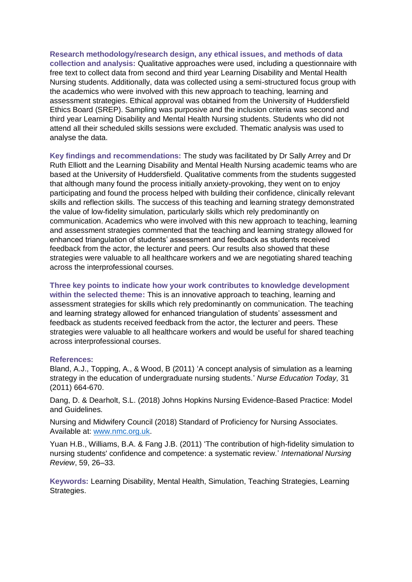**Research methodology/research design, any ethical issues, and methods of data collection and analysis:** Qualitative approaches were used, including a questionnaire with free text to collect data from second and third year Learning Disability and Mental Health Nursing students. Additionally, data was collected using a semi-structured focus group with the academics who were involved with this new approach to teaching, learning and assessment strategies. Ethical approval was obtained from the University of Huddersfield Ethics Board (SREP). Sampling was purposive and the inclusion criteria was second and third year Learning Disability and Mental Health Nursing students. Students who did not attend all their scheduled skills sessions were excluded. Thematic analysis was used to analyse the data.

**Key findings and recommendations:** The study was facilitated by Dr Sally Arrey and Dr Ruth Elliott and the Learning Disability and Mental Health Nursing academic teams who are based at the University of Huddersfield. Qualitative comments from the students suggested that although many found the process initially anxiety-provoking, they went on to enjoy participating and found the process helped with building their confidence, clinically relevant skills and reflection skills. The success of this teaching and learning strategy demonstrated the value of low-fidelity simulation, particularly skills which rely predominantly on communication. Academics who were involved with this new approach to teaching, learning and assessment strategies commented that the teaching and learning strategy allowed for enhanced triangulation of students' assessment and feedback as students received feedback from the actor, the lecturer and peers. Our results also showed that these strategies were valuable to all healthcare workers and we are negotiating shared teaching across the interprofessional courses.

**Three key points to indicate how your work contributes to knowledge development within the selected theme:** This is an innovative approach to teaching, learning and assessment strategies for skills which rely predominantly on communication. The teaching and learning strategy allowed for enhanced triangulation of students' assessment and feedback as students received feedback from the actor, the lecturer and peers. These strategies were valuable to all healthcare workers and would be useful for shared teaching across interprofessional courses.

#### **References:**

Bland, A.J., Topping, A., & Wood, B (2011) 'A concept analysis of simulation as a learning strategy in the education of undergraduate nursing students.' *Nurse Education Today,* 31 (2011) 664-670.

Dang, D. & Dearholt, S.L. (2018) Johns Hopkins Nursing Evidence-Based Practice: Model and Guidelines.

Nursing and Midwifery Council (2018) Standard of Proficiency for Nursing Associates. Available at: [www.nmc.org.uk.](http://www.nmc.org.uk/)

Yuan H.B., Williams, B.A. & Fang J.B. (2011) 'The contribution of high‐fidelity simulation to nursing students' confidence and competence: a systematic review.' *International Nursing Review*, 59, 26–33.

**Keywords:** Learning Disability, Mental Health, Simulation, Teaching Strategies, Learning Strategies.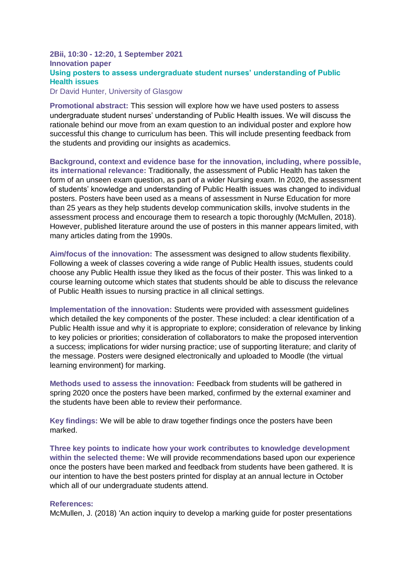#### **2Bii, 10:30 - 12:20, 1 September 2021 Innovation paper Using posters to assess undergraduate student nurses' understanding of Public Health issues** Dr David Hunter, University of Glasgow

**Promotional abstract:** This session will explore how we have used posters to assess undergraduate student nurses' understanding of Public Health issues. We will discuss the rationale behind our move from an exam question to an individual poster and explore how successful this change to curriculum has been. This will include presenting feedback from

the students and providing our insights as academics.

**Background, context and evidence base for the innovation, including, where possible, its international relevance:** Traditionally, the assessment of Public Health has taken the form of an unseen exam question, as part of a wider Nursing exam. In 2020, the assessment of students' knowledge and understanding of Public Health issues was changed to individual posters. Posters have been used as a means of assessment in Nurse Education for more than 25 years as they help students develop communication skills, involve students in the assessment process and encourage them to research a topic thoroughly (McMullen, 2018). However, published literature around the use of posters in this manner appears limited, with many articles dating from the 1990s.

**Aim/focus of the innovation:** The assessment was designed to allow students flexibility. Following a week of classes covering a wide range of Public Health issues, students could choose any Public Health issue they liked as the focus of their poster. This was linked to a course learning outcome which states that students should be able to discuss the relevance of Public Health issues to nursing practice in all clinical settings.

**Implementation of the innovation:** Students were provided with assessment guidelines which detailed the key components of the poster. These included: a clear identification of a Public Health issue and why it is appropriate to explore; consideration of relevance by linking to key policies or priorities; consideration of collaborators to make the proposed intervention a success; implications for wider nursing practice; use of supporting literature; and clarity of the message. Posters were designed electronically and uploaded to Moodle (the virtual learning environment) for marking.

**Methods used to assess the innovation:** Feedback from students will be gathered in spring 2020 once the posters have been marked, confirmed by the external examiner and the students have been able to review their performance.

**Key findings:** We will be able to draw together findings once the posters have been marked.

**Three key points to indicate how your work contributes to knowledge development within the selected theme:** We will provide recommendations based upon our experience once the posters have been marked and feedback from students have been gathered. It is our intention to have the best posters printed for display at an annual lecture in October which all of our undergraduate students attend.

#### **References:**

McMullen, J. (2018) 'An action inquiry to develop a marking guide for poster presentations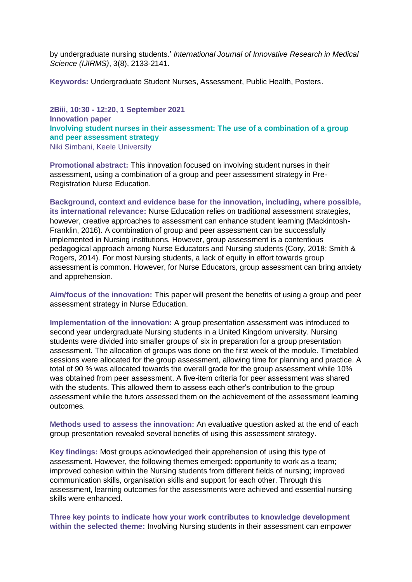by undergraduate nursing students.' *International Journal of Innovative Research in Medical Science (IJIRMS)*, 3(8), 2133-2141.

**Keywords:** Undergraduate Student Nurses, Assessment, Public Health, Posters.

**2Biii, 10:30 - 12:20, 1 September 2021 Innovation paper Involving student nurses in their assessment: The use of a combination of a group and peer assessment strategy** Niki Simbani, Keele University

**Promotional abstract:** This innovation focused on involving student nurses in their assessment, using a combination of a group and peer assessment strategy in Pre-Registration Nurse Education.

**Background, context and evidence base for the innovation, including, where possible, its international relevance:** Nurse Education relies on traditional assessment strategies, however, creative approaches to assessment can enhance student learning (Mackintosh-Franklin, 2016). A combination of group and peer assessment can be successfully implemented in Nursing institutions. However, group assessment is a contentious pedagogical approach among Nurse Educators and Nursing students (Cory, 2018; Smith & Rogers, 2014). For most Nursing students, a lack of equity in effort towards group assessment is common. However, for Nurse Educators, group assessment can bring anxiety and apprehension.

**Aim/focus of the innovation:** This paper will present the benefits of using a group and peer assessment strategy in Nurse Education.

**Implementation of the innovation:** A group presentation assessment was introduced to second year undergraduate Nursing students in a United Kingdom university. Nursing students were divided into smaller groups of six in preparation for a group presentation assessment. The allocation of groups was done on the first week of the module. Timetabled sessions were allocated for the group assessment, allowing time for planning and practice. A total of 90 % was allocated towards the overall grade for the group assessment while 10% was obtained from peer assessment. A five-item criteria for peer assessment was shared with the students. This allowed them to assess each other's contribution to the group assessment while the tutors assessed them on the achievement of the assessment learning outcomes.

**Methods used to assess the innovation:** An evaluative question asked at the end of each group presentation revealed several benefits of using this assessment strategy.

**Key findings:** Most groups acknowledged their apprehension of using this type of assessment. However, the following themes emerged: opportunity to work as a team; improved cohesion within the Nursing students from different fields of nursing; improved communication skills, organisation skills and support for each other. Through this assessment, learning outcomes for the assessments were achieved and essential nursing skills were enhanced.

**Three key points to indicate how your work contributes to knowledge development within the selected theme:** Involving Nursing students in their assessment can empower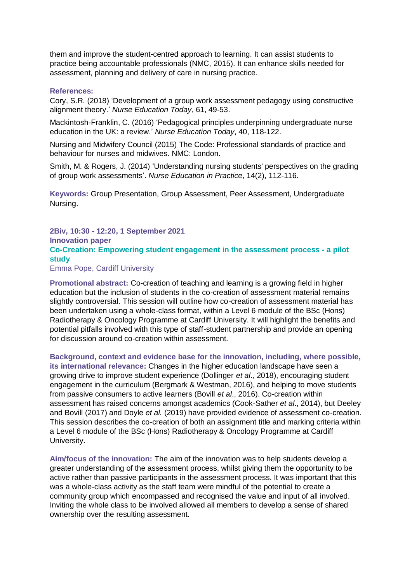them and improve the student-centred approach to learning. It can assist students to practice being accountable professionals (NMC, 2015). It can enhance skills needed for assessment, planning and delivery of care in nursing practice.

#### **References:**

Cory, S.R. (2018) 'Development of a group work assessment pedagogy using constructive alignment theory.' *Nurse Education Today*, 61, 49-53.

Mackintosh-Franklin, C. (2016) 'Pedagogical principles underpinning undergraduate nurse education in the UK: a review.' *Nurse Education Today*, 40, 118-122.

Nursing and Midwifery Council (2015) The Code: Professional standards of practice and behaviour for nurses and midwives. NMC: London.

Smith, M. & Rogers, J. (2014) 'Understanding nursing students' perspectives on the grading of group work assessments'. *Nurse Education in Practice*, 14(2), 112-116.

**Keywords:** Group Presentation, Group Assessment, Peer Assessment, Undergraduate Nursing.

#### **2Biv, 10:30 - 12:20, 1 September 2021 Innovation paper Co-Creation: Empowering student engagement in the assessment process - a pilot study**

Emma Pope, Cardiff University

**Promotional abstract:** Co-creation of teaching and learning is a growing field in higher education but the inclusion of students in the co-creation of assessment material remains slightly controversial. This session will outline how co-creation of assessment material has been undertaken using a whole-class format, within a Level 6 module of the BSc (Hons) Radiotherapy & Oncology Programme at Cardiff University. It will highlight the benefits and potential pitfalls involved with this type of staff-student partnership and provide an opening for discussion around co-creation within assessment.

**Background, context and evidence base for the innovation, including, where possible, its international relevance:** Changes in the higher education landscape have seen a growing drive to improve student experience (Dollinger *et al*., 2018), encouraging student engagement in the curriculum (Bergmark & Westman, 2016), and helping to move students from passive consumers to active learners (Bovill *et al*., 2016). Co-creation within assessment has raised concerns amongst academics (Cook-Sather *et al*., 2014), but Deeley and Bovill (2017) and Doyle *et al.* (2019) have provided evidence of assessment co-creation. This session describes the co-creation of both an assignment title and marking criteria within a Level 6 module of the BSc (Hons) Radiotherapy & Oncology Programme at Cardiff University.

**Aim/focus of the innovation:** The aim of the innovation was to help students develop a greater understanding of the assessment process, whilst giving them the opportunity to be active rather than passive participants in the assessment process. It was important that this was a whole-class activity as the staff team were mindful of the potential to create a community group which encompassed and recognised the value and input of all involved. Inviting the whole class to be involved allowed all members to develop a sense of shared ownership over the resulting assessment.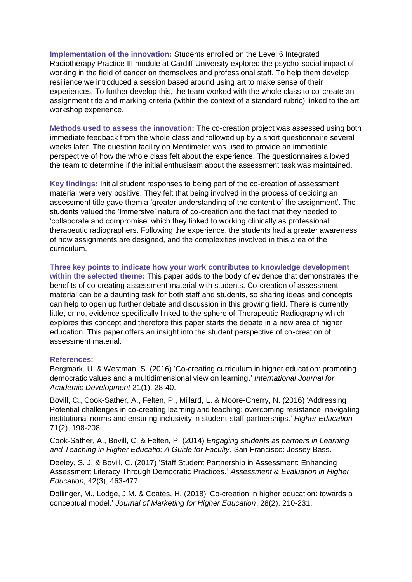**Implementation of the innovation:** Students enrolled on the Level 6 Integrated Radiotherapy Practice III module at Cardiff University explored the psycho-social impact of working in the field of cancer on themselves and professional staff. To help them develop resilience we introduced a session based around using art to make sense of their experiences. To further develop this, the team worked with the whole class to co-create an assignment title and marking criteria (within the context of a standard rubric) linked to the art workshop experience.

**Methods used to assess the innovation:** The co-creation project was assessed using both immediate feedback from the whole class and followed up by a short questionnaire several weeks later. The question facility on Mentimeter was used to provide an immediate perspective of how the whole class felt about the experience. The questionnaires allowed the team to determine if the initial enthusiasm about the assessment task was maintained.

**Key findings:** Initial student responses to being part of the co-creation of assessment material were very positive. They felt that being involved in the process of deciding an assessment title gave them a 'greater understanding of the content of the assignment'. The students valued the 'immersive' nature of co-creation and the fact that they needed to 'collaborate and compromise' which they linked to working clinically as professional therapeutic radiographers. Following the experience, the students had a greater awareness of how assignments are designed, and the complexities involved in this area of the curriculum.

**Three key points to indicate how your work contributes to knowledge development within the selected theme:** This paper adds to the body of evidence that demonstrates the benefits of co-creating assessment material with students. Co-creation of assessment material can be a daunting task for both staff and students, so sharing ideas and concepts can help to open up further debate and discussion in this growing field. There is currently little, or no, evidence specifically linked to the sphere of Therapeutic Radiography which explores this concept and therefore this paper starts the debate in a new area of higher education. This paper offers an insight into the student perspective of co-creation of assessment material.

#### **References:**

Bergmark, U. & Westman, S. (2016) 'Co-creating curriculum in higher education: promoting democratic values and a multidimensional view on learning.' *International Journal for Academic Development* 21(1), 28-40.

Bovill, C., Cook-Sather, A., Felten, P., Millard, L. & Moore-Cherry, N. (2016) 'Addressing Potential challenges in co-creating learning and teaching: overcoming resistance, navigating institutional norms and ensuring inclusivity in student-staff partnerships.' *Higher Education* 71(2), 198-208.

Cook-Sather, A., Bovill, C. & Felten, P. (2014) *Engaging students as partners in Learning and Teaching in Higher Educatio: A Guide for Faculty*. San Francisco: Jossey Bass.

Deeley, S. J. & Bovill, C. (2017) 'Staff Student Partnership in Assessment: Enhancing Assessment Literacy Through Democratic Practices.' *Assessment & Evaluation in Higher Education,* 42(3), 463-477.

Dollinger, M., Lodge, J.M. & Coates, H. (2018) 'Co-creation in higher education: towards a conceptual model.' *Journal of Marketing for Higher Education*, 28(2), 210-231.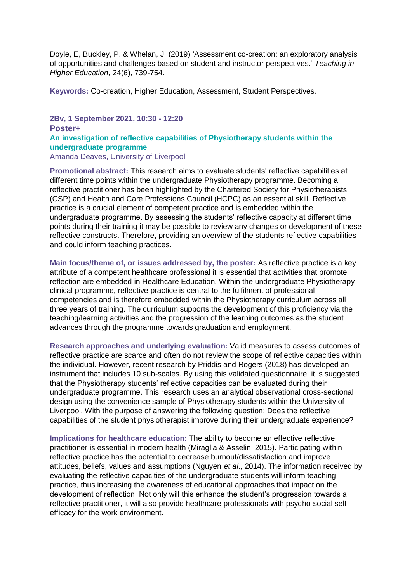Doyle, E, Buckley, P. & Whelan, J. (2019) 'Assessment co-creation: an exploratory analysis of opportunities and challenges based on student and instructor perspectives.' *Teaching in Higher Education*, 24(6), 739-754.

**Keywords:** Co-creation, Higher Education, Assessment, Student Perspectives.

#### **2Bv, 1 September 2021, 10:30 - 12:20 Poster+**

#### **An investigation of reflective capabilities of Physiotherapy students within the undergraduate programme**

Amanda Deaves, University of Liverpool

**Promotional abstract:** This research aims to evaluate students' reflective capabilities at different time points within the undergraduate Physiotherapy programme. Becoming a reflective practitioner has been highlighted by the Chartered Society for Physiotherapists (CSP) and Health and Care Professions Council (HCPC) as an essential skill. Reflective practice is a crucial element of competent practice and is embedded within the undergraduate programme. By assessing the students' reflective capacity at different time points during their training it may be possible to review any changes or development of these reflective constructs. Therefore, providing an overview of the students reflective capabilities and could inform teaching practices.

**Main focus/theme of, or issues addressed by, the poster:** As reflective practice is a key attribute of a competent healthcare professional it is essential that activities that promote reflection are embedded in Healthcare Education. Within the undergraduate Physiotherapy clinical programme, reflective practice is central to the fulfilment of professional competencies and is therefore embedded within the Physiotherapy curriculum across all three years of training. The curriculum supports the development of this proficiency via the teaching/learning activities and the progression of the learning outcomes as the student advances through the programme towards graduation and employment.

**Research approaches and underlying evaluation:** Valid measures to assess outcomes of reflective practice are scarce and often do not review the scope of reflective capacities within the individual. However, recent research by Priddis and Rogers (2018) has developed an instrument that includes 10 sub-scales. By using this validated questionnaire, it is suggested that the Physiotherapy students' reflective capacities can be evaluated during their undergraduate programme. This research uses an analytical observational cross-sectional design using the convenience sample of Physiotherapy students within the University of Liverpool. With the purpose of answering the following question; Does the reflective capabilities of the student physiotherapist improve during their undergraduate experience?

**Implications for healthcare education:** The ability to become an effective reflective practitioner is essential in modern health (Miraglia & Asselin, 2015). Participating within reflective practice has the potential to decrease burnout/dissatisfaction and improve attitudes, beliefs, values and assumptions (Nguyen *et al*., 2014). The information received by evaluating the reflective capacities of the undergraduate students will inform teaching practice, thus increasing the awareness of educational approaches that impact on the development of reflection. Not only will this enhance the student's progression towards a reflective practitioner, it will also provide healthcare professionals with psycho-social selfefficacy for the work environment.